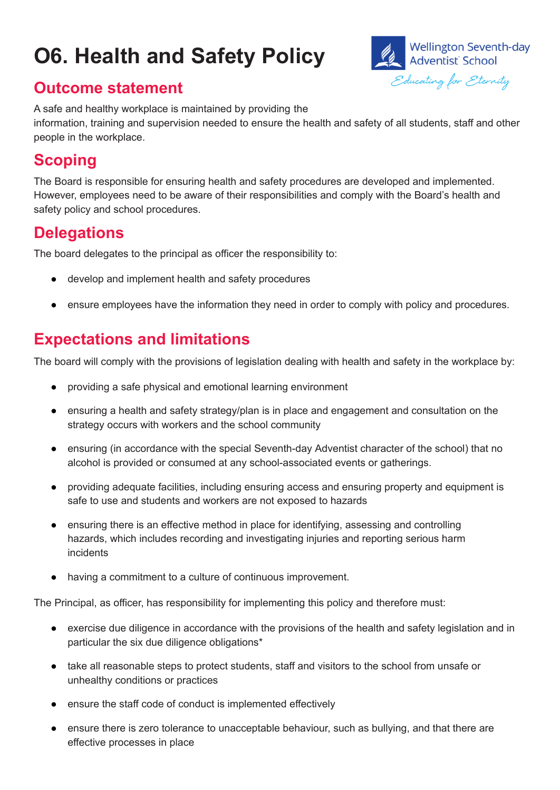# **O6. Health and Safety Policy**



#### **Outcome statement**

A safe and healthy workplace is maintained by providing the information, training and supervision needed to ensure the health and safety of all students, staff and other people in the workplace.

### **Scoping**

The Board is responsible for ensuring health and safety procedures are developed and implemented. However, employees need to be aware of their responsibilities and comply with the Board's health and safety policy and school procedures.

#### **Delegations**

The board delegates to the principal as officer the responsibility to:

- develop and implement health and safety procedures
- ensure employees have the information they need in order to comply with policy and procedures.

## **Expectations and limitations**

The board will comply with the provisions of legislation dealing with health and safety in the workplace by:

- providing a safe physical and emotional learning environment
- ensuring a health and safety strategy/plan is in place and engagement and consultation on the strategy occurs with workers and the school community
- ensuring (in accordance with the special Seventh-day Adventist character of the school) that no alcohol is provided or consumed at any school-associated events or gatherings.
- providing adequate facilities, including ensuring access and ensuring property and equipment is safe to use and students and workers are not exposed to hazards
- ensuring there is an effective method in place for identifying, assessing and controlling hazards, which includes recording and investigating injuries and reporting serious harm incidents
- having a commitment to a culture of continuous improvement.

The Principal, as officer, has responsibility for implementing this policy and therefore must:

- exercise due diligence in accordance with the provisions of the health and safety legislation and in particular the six due diligence obligations\*
- take all reasonable steps to protect students, staff and visitors to the school from unsafe or unhealthy conditions or practices
- ensure the staff code of conduct is implemented effectively
- ensure there is zero tolerance to unacceptable behaviour, such as bullying, and that there are effective processes in place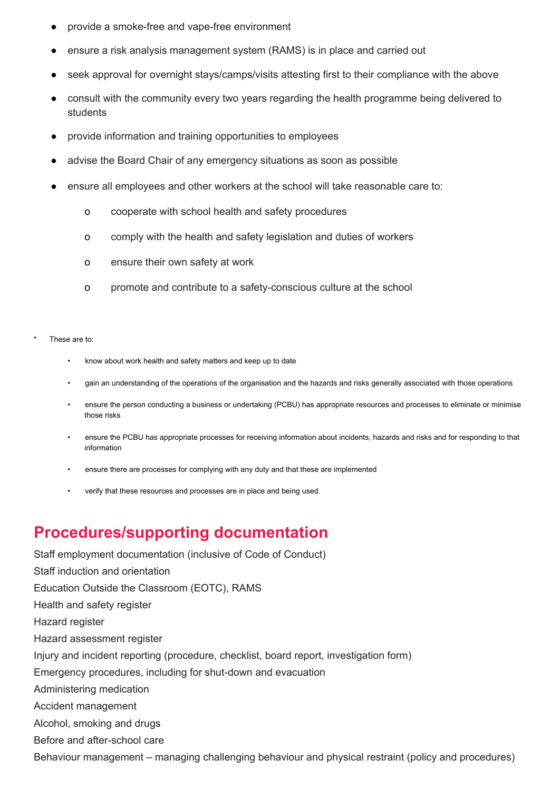- provide a smoke-free and vape-free environment
- ensure a risk analysis management system (RAMS) is in place and carried out
- seek approval for overnight stays/camps/visits attesting first to their compliance with the above
- consult with the community every two years regarding the health programme being delivered to students
- provide information and training opportunities to employees
- advise the Board Chair of any emergency situations as soon as possible
- ensure all employees and other workers at the school will take reasonable care to:
	- o cooperate with school health and safety procedures
	- o comply with the health and safety legislation and duties of workers
	- o ensure their own safety at work
	- o promote and contribute to a safety-conscious culture at the school
- These are to:
	- know about work health and safety matters and keep up to date
	- gain an understanding of the operations of the organisation and the hazards and risks generally associated with those operations
	- ensure the person conducting a business or undertaking (PCBU) has appropriate resources and processes to eliminate or minimise those risks
	- ensure the PCBU has appropriate processes for receiving information about incidents, hazards and risks and for responding to that information
	- ensure there are processes for complying with any duty and that these are implemented
	- verify that these resources and processes are in place and being used.

## **Procedures/supporting documentation**

Staff employment documentation (inclusive of Code of Conduct) Staff induction and orientation Education Outside the Classroom (EOTC), RAMS Health and safety register Hazard register Hazard assessment register Injury and incident reporting (procedure, checklist, board report, investigation form) Emergency procedures, including for shut-down and evacuation Administering medication Accident management Alcohol, smoking and drugs Before and after-school care Behaviour management – managing challenging behaviour and physical restraint (policy and procedures)